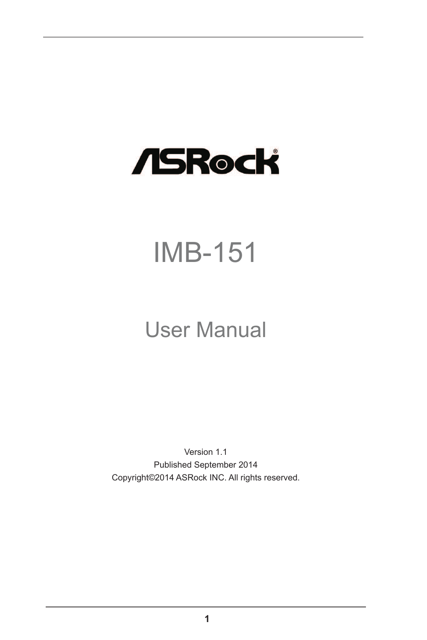# **/ISRock**

# IMB-151

## User Manual

Version 1.1 Published September 2014 Copyright©2014 ASRock INC. All rights reserved.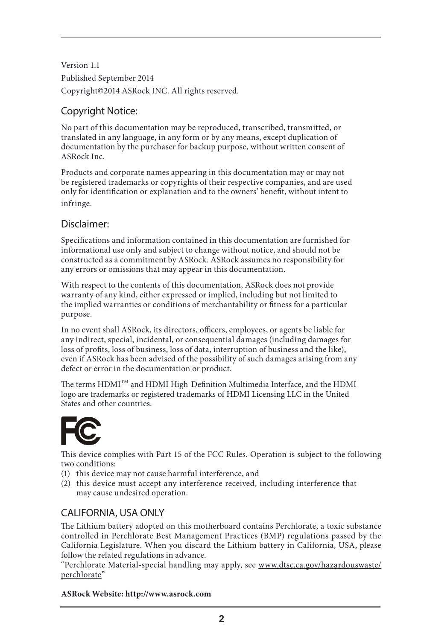Version 1.1 Published September 2014 Copyright©2014 ASRock INC. All rights reserved.

#### Copyright Notice:

No part of this documentation may be reproduced, transcribed, transmitted, or translated in any language, in any form or by any means, except duplication of documentation by the purchaser for backup purpose, without written consent of ASRock Inc.

Products and corporate names appearing in this documentation may or may not be registered trademarks or copyrights of their respective companies, and are used only for identiication or explanation and to the owners' beneit, without intent to infringe.

#### Disclaimer:

Specifications and information contained in this documentation are furnished for informational use only and subject to change without notice, and should not be constructed as a commitment by ASRock. ASRock assumes no responsibility for any errors or omissions that may appear in this documentation.

With respect to the contents of this documentation, ASRock does not provide warranty of any kind, either expressed or implied, including but not limited to the implied warranties or conditions of merchantability or fitness for a particular purpose.

In no event shall ASRock, its directors, officers, employees, or agents be liable for any indirect, special, incidental, or consequential damages (including damages for loss of profits, loss of business, loss of data, interruption of business and the like), even if ASRock has been advised of the possibility of such damages arising from any defect or error in the documentation or product.

 $\mathop{\rm The}\nolimits$  terms  $\mathop{\rm HDMI}\nolimits^{\rm TM}$  and  $\mathop{\rm HDMI}\nolimits$  High-Definition Multimedia Interface, and the HDMI logo are trademarks or registered trademarks of HDMI Licensing LLC in the United States and other countries.

his device complies with Part 15 of the FCC Rules. Operation is subject to the following two conditions:

- (1) this device may not cause harmful interference, and
- (2) this device must accept any interference received, including interference that may cause undesired operation.

#### CALIFORNIA, USA ONLY

he Lithium battery adopted on this motherboard contains Perchlorate, a toxic substance controlled in Perchlorate Best Management Practices (BMP) regulations passed by the California Legislature. When you discard the Lithium battery in California, USA, please follow the related regulations in advance.

"Perchlorate Material-special handling may apply, see www.dtsc.ca.gov/hazardouswaste/ perchlorate"

#### **ASRock Website: http://www.asrock.com**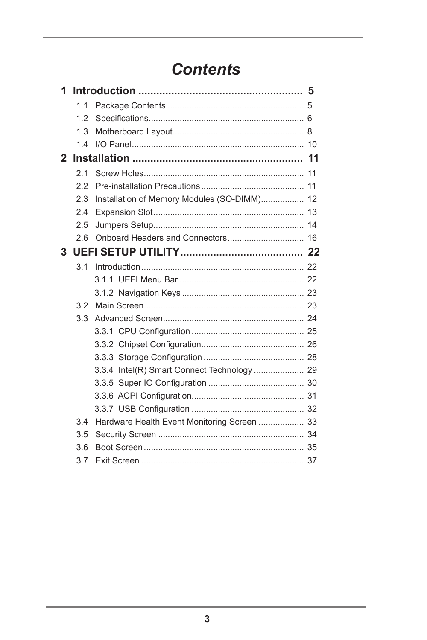## **Contents**

| 1 |                |                                             |  |
|---|----------------|---------------------------------------------|--|
|   | 11             |                                             |  |
|   | 12             |                                             |  |
|   | 1.3            |                                             |  |
|   | 14             |                                             |  |
|   |                |                                             |  |
|   | 21             |                                             |  |
|   | 22             |                                             |  |
|   | 2.3            | Installation of Memory Modules (SO-DIMM) 12 |  |
|   | 24             |                                             |  |
|   | 2.5            |                                             |  |
|   | 2.6            |                                             |  |
|   |                |                                             |  |
|   | 3 <sub>1</sub> |                                             |  |
|   |                |                                             |  |
|   |                |                                             |  |
|   | 3.2            |                                             |  |
|   | 3.3            |                                             |  |
|   |                |                                             |  |
|   |                |                                             |  |
|   |                |                                             |  |
|   |                |                                             |  |
|   |                |                                             |  |
|   |                |                                             |  |
|   |                |                                             |  |
|   | 34             | Hardware Health Event Monitoring Screen  33 |  |
|   | 3.5            |                                             |  |
|   | 36             |                                             |  |
|   | 3.7            |                                             |  |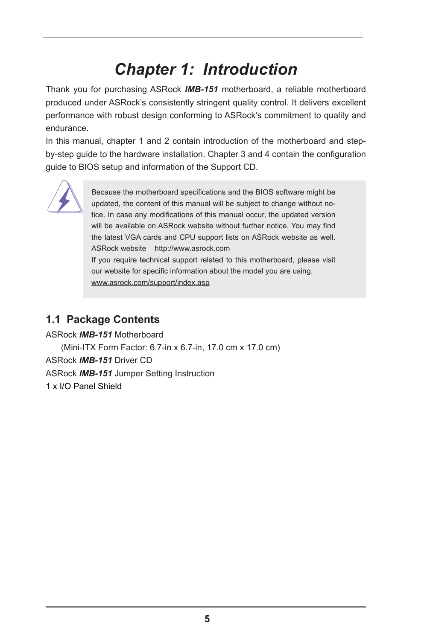## *Chapter 1: Introduction*

Thank you for purchasing ASRock *IMB-151* motherboard, a reliable motherboard produced under ASRock's consistently stringent quality control. It delivers excellent performance with robust design conforming to ASRock's commitment to quality and endurance.

In this manual, chapter 1 and 2 contain introduction of the motherboard and stepby-step guide to the hardware installation. Chapter 3 and 4 contain the coniguration guide to BIOS setup and information of the Support CD.



Because the motherboard speciications and the BIOS software might be updated, the content of this manual will be subject to change without notice. In case any modifications of this manual occur, the updated version will be available on ASRock website without further notice. You may find the latest VGA cards and CPU support lists on ASRock website as well. ASRock website http://www.asrock.com

If you require technical support related to this motherboard, please visit our website for specific information about the model you are using. www.asrock.com/support/index.asp

#### **1.1 Package Contents**

ASRock *IMB-151* Motherboard (Mini-ITX Form Factor: 6.7-in x 6.7-in, 17.0 cm x 17.0 cm) ASRock *IMB-151* Driver CD ASRock *IMB-151* Jumper Setting Instruction 1 x I/O Panel Shield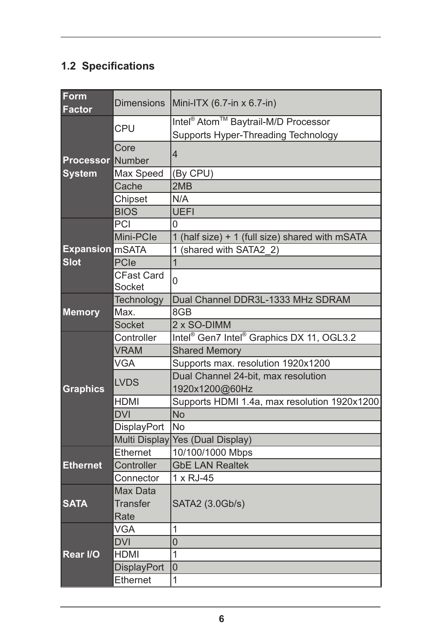### **1.2 Specifications**

| Form<br><b>Factor</b>   | <b>Dimensions</b>           | Mini-ITX (6.7-in x 6.7-in)                                  |  |  |  |
|-------------------------|-----------------------------|-------------------------------------------------------------|--|--|--|
|                         | CPU                         | Intel <sup>®</sup> Atom <sup>™</sup> Baytrail-M/D Processor |  |  |  |
|                         |                             | Supports Hyper-Threading Technology                         |  |  |  |
| <b>Processor Number</b> | Core                        | $\overline{\mathbf{4}}$                                     |  |  |  |
| <b>System</b>           | Max Speed                   | (By CPU)                                                    |  |  |  |
|                         | Cache                       | 2MB                                                         |  |  |  |
|                         | Chipset                     | N/A                                                         |  |  |  |
|                         | <b>BIOS</b>                 | <b>UEFI</b>                                                 |  |  |  |
|                         | PCI                         | 0                                                           |  |  |  |
|                         | Mini-PCIe                   | 1 (half size) + 1 (full size) shared with mSATA             |  |  |  |
| <b>Expansion mSATA</b>  |                             | 1 (shared with SATA2 2)                                     |  |  |  |
| <b>Slot</b>             | PCle                        | $\mathbf{1}$                                                |  |  |  |
|                         | <b>CFast Card</b><br>Socket | 0                                                           |  |  |  |
|                         | Technology                  | Dual Channel DDR3L-1333 MHz SDRAM                           |  |  |  |
| <b>Memory</b>           | Max.                        | 8GB                                                         |  |  |  |
|                         | Socket                      | 2 x SO-DIMM                                                 |  |  |  |
|                         | Controller                  | Intel <sup>®</sup> Gen7 Intel® Graphics DX 11, OGL3.2       |  |  |  |
|                         | <b>VRAM</b>                 | <b>Shared Memory</b>                                        |  |  |  |
|                         | <b>VGA</b>                  | Supports max. resolution 1920x1200                          |  |  |  |
| <b>Graphics</b>         | <b>LVDS</b>                 | Dual Channel 24-bit, max resolution<br>1920x1200@60Hz       |  |  |  |
|                         | <b>HDMI</b>                 | Supports HDMI 1.4a, max resolution 1920x1200                |  |  |  |
|                         | <b>DVI</b>                  | <b>No</b>                                                   |  |  |  |
|                         | DisplayPort                 | $\overline{No}$                                             |  |  |  |
|                         |                             | Multi Display Yes (Dual Display)                            |  |  |  |
|                         | Ethernet                    | 10/100/1000 Mbps                                            |  |  |  |
| <b>Ethernet</b>         | Controller                  | <b>GbE LAN Realtek</b>                                      |  |  |  |
|                         | Connector                   | 1 x RJ-45                                                   |  |  |  |
|                         | Max Data                    |                                                             |  |  |  |
| <b>SATA</b>             | Transfer                    | SATA2 (3.0Gb/s)                                             |  |  |  |
|                         | Rate                        |                                                             |  |  |  |
|                         | VGA                         | 1                                                           |  |  |  |
|                         | <b>DVI</b>                  | $\overline{0}$                                              |  |  |  |
| Rear I/O                | <b>HDMI</b>                 | $\overline{1}$                                              |  |  |  |
|                         | <b>DisplayPort</b>          | $\mathbf 0$                                                 |  |  |  |
|                         | Ethernet                    | $\mathbf{1}$                                                |  |  |  |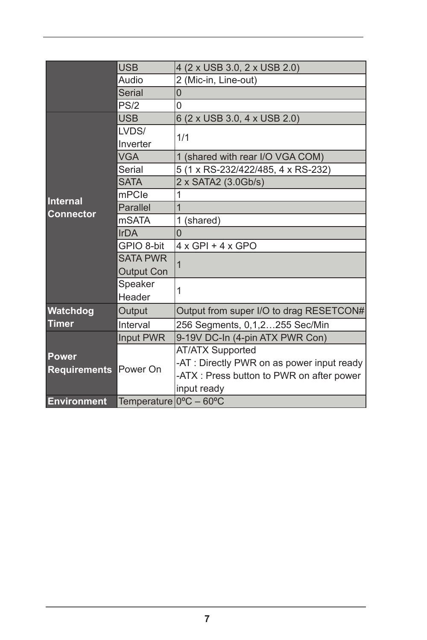|                     | <b>USB</b>             | 4 (2 x USB 3.0, 2 x USB 2.0)              |  |  |
|---------------------|------------------------|-------------------------------------------|--|--|
|                     | Audio                  | 2 (Mic-in, Line-out)                      |  |  |
|                     | Serial                 | 0                                         |  |  |
|                     | PS/2                   | 0                                         |  |  |
|                     | <b>USB</b>             | 6 (2 x USB 3.0, 4 x USB 2.0)              |  |  |
|                     | LVDS/                  | 1/1                                       |  |  |
|                     | Inverter               |                                           |  |  |
|                     | <b>VGA</b>             | 1 (shared with rear I/O VGA COM)          |  |  |
|                     | Serial                 | 5 (1 x RS-232/422/485, 4 x RS-232)        |  |  |
|                     | <b>SATA</b>            | 2 x SATA2 (3.0Gb/s)                       |  |  |
| <b>Internal</b>     | mPCle                  |                                           |  |  |
| <b>Connector</b>    | Parallel               | 1                                         |  |  |
|                     | <b>mSATA</b>           | 1 (shared)                                |  |  |
|                     | <b>IrDA</b>            | $\Omega$                                  |  |  |
|                     | GPIO 8-bit             | $4 \times$ GPI + $4 \times$ GPO           |  |  |
|                     | <b>SATA PWR</b>        |                                           |  |  |
|                     | <b>Output Con</b>      |                                           |  |  |
|                     | Speaker                | 1                                         |  |  |
|                     | Header                 |                                           |  |  |
| Watchdog            | Output                 | Output from super I/O to drag RESETCON#   |  |  |
| <b>Timer</b>        | Interval               | 256 Segments, 0,1,2255 Sec/Min            |  |  |
|                     | Input PWR              | 9-19V DC-In (4-pin ATX PWR Con)           |  |  |
| Power               |                        | AT/ATX Supported                          |  |  |
|                     | Power On               | -AT: Directly PWR on as power input ready |  |  |
| <b>Requirements</b> |                        | -ATX : Press button to PWR on after power |  |  |
|                     |                        | input ready                               |  |  |
| <b>Environment</b>  | Temperature 0°C - 60°C |                                           |  |  |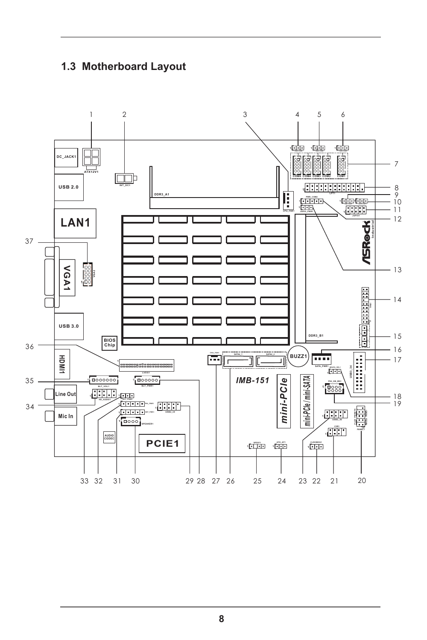#### **1.3 Motherboard Layout**

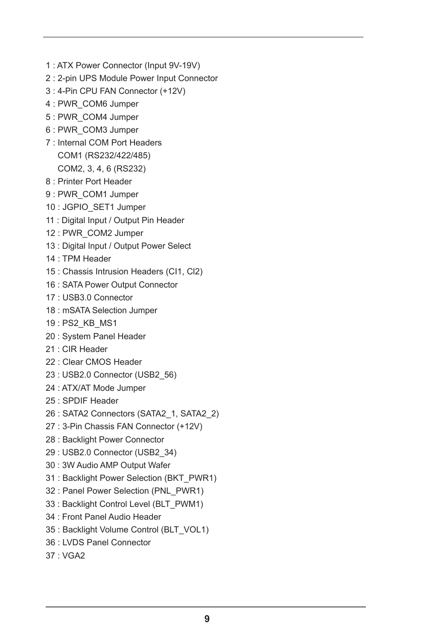- 1 : ATX Power Connector (Input 9V-19V)
- 2 : 2-pin UPS Module Power Input Connector
- 3 : 4-Pin CPU FAN Connector (+12V)
- 4 : PWR\_COM6 Jumper
- 5 : PWR\_COM4 Jumper
- 6 : PWR\_COM3 Jumper
- 7 : Internal COM Port Headers COM1 (RS232/422/485) COM2, 3, 4, 6 (RS232)
- 8 : Printer Port Header
- 9 : PWR\_COM1 Jumper
- 10 : JGPIO\_SET1 Jumper
- 11 : Digital Input / Output Pin Header
- 12 : PWR\_COM2 Jumper
- 13 : Digital Input / Output Power Select
- 14 : TPM Header
- 15 : Chassis Intrusion Headers (CI1, Cl2)
- 16 : SATA Power Output Connector
- 17 : USB3.0 Connector
- 18 : mSATA Selection Jumper
- 19 : PS2\_KB\_MS1
- 20 : System Panel Header
- 21 : CIR Header
- 22 : Clear CMOS Header
- 23 : USB2.0 Connector (USB2\_56)
- 24 : ATX/AT Mode Jumper
- 25 : SPDIF Header
- 26 : SATA2 Connectors (SATA2\_1, SATA2\_2)
- 27 : 3-Pin Chassis FAN Connector (+12V)
- 28 : Backlight Power Connector
- 29 : USB2.0 Connector (USB2\_34)
- 30 : 3W Audio AMP Output Wafer
- 31 : Backlight Power Selection (BKT\_PWR1)
- 32 : Panel Power Selection (PNL\_PWR1)
- 33 : Backlight Control Level (BLT\_PWM1)
- 34 : Front Panel Audio Header
- 35 : Backlight Volume Control (BLT\_VOL1)
- 36 : LVDS Panel Connector
- 37 : VGA2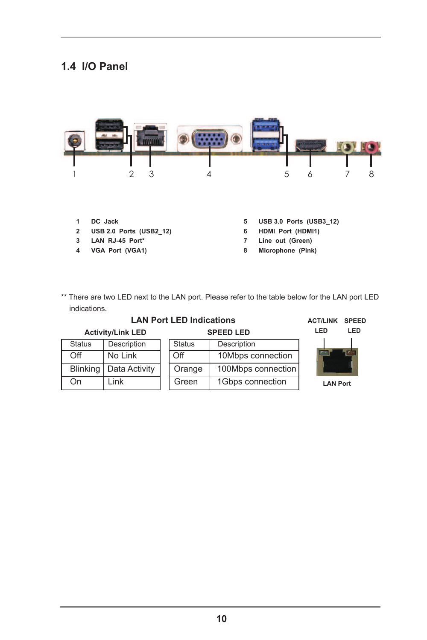#### **1.4 I/O Panel**



\*\* There are two LED next to the LAN port. Please refer to the table below for the LAN port LED indications.

**LAN Port LED Indications**

|                                                | <b>Activity/Link LED</b> |  |               | <b>SPEED LED</b> |  |
|------------------------------------------------|--------------------------|--|---------------|------------------|--|
| Description<br><b>Status</b><br>Off<br>No Link |                          |  | <b>Status</b> | Description      |  |
|                                                |                          |  | $\bigcirc$ ff | 10Mbps co        |  |
| <b>Blinking</b>                                | Data Activity            |  | Orange        | 100Mbps o        |  |
| l ink<br>On                                    |                          |  | Green         | 1Gbps con        |  |

|          | <b>Activity/Link LED</b> |               | <b>SPEED LED</b>   |
|----------|--------------------------|---------------|--------------------|
| Status   | Description              | <b>Status</b> | Description        |
| Off      | No Link                  | Off           | 10Mbps connection  |
| Blinking | Data Activity            | Orange        | 100Mbps connection |
| On       | Link                     | Green         | 1Gbps connection   |



**LAN Port**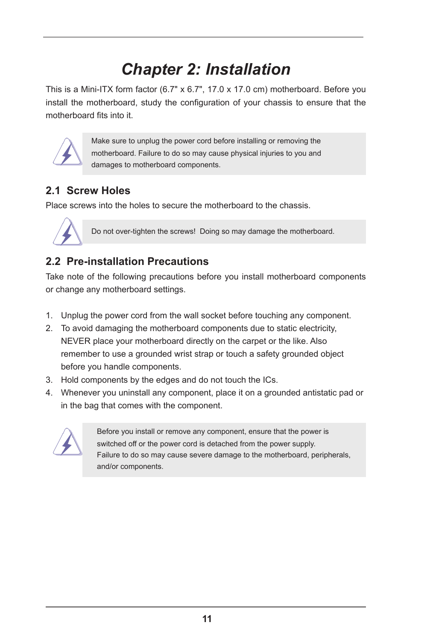## *Chapter 2: Installation*

This is a Mini-ITX form factor (6.7" x 6.7", 17.0 x 17.0 cm) motherboard. Before you install the motherboard, study the coniguration of your chassis to ensure that the motherboard fits into it.



Make sure to unplug the power cord before installing or removing the motherboard. Failure to do so may cause physical injuries to you and damages to motherboard components.

### **2.1 Screw Holes**

Place screws into the holes to secure the motherboard to the chassis.



Do not over-tighten the screws! Doing so may damage the motherboard.

### **2.2 Pre-installation Precautions**

Take note of the following precautions before you install motherboard components or change any motherboard settings.

- 1. Unplug the power cord from the wall socket before touching any component.
- 2. To avoid damaging the motherboard components due to static electricity, NEVER place your motherboard directly on the carpet or the like. Also remember to use a grounded wrist strap or touch a safety grounded object before you handle components.
- 3. Hold components by the edges and do not touch the ICs.
- 4. Whenever you uninstall any component, place it on a grounded antistatic pad or in the bag that comes with the component.



 Before you install or remove any component, ensure that the power is switched off or the power cord is detached from the power supply. Failure to do so may cause severe damage to the motherboard, peripherals, and/or components.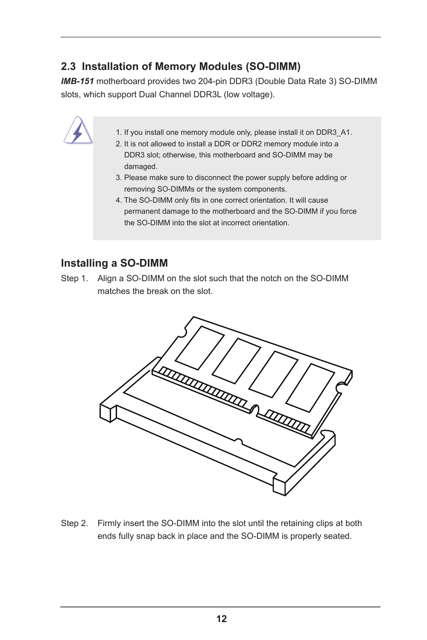#### **2.3 Installation of Memory Modules (SO-DIMM)**

*IMB-151* motherboard provides two 204-pin DDR3 (Double Data Rate 3) SO-DIMM slots, which support Dual Channel DDR3L (low voltage).

- 1. If you install one memory module only, please install it on DDR3\_A1.
- 2. It is not allowed to install a DDR or DDR2 memory module into a DDR3 slot; otherwise, this motherboard and SO-DIMM may be damaged.
- 3. Please make sure to disconnect the power supply before adding or removing SO-DIMMs or the system components.
- 4. The SO-DIMM only fits in one correct orientation. It will cause permanent damage to the motherboard and the SO-DIMM if you force the SO-DIMM into the slot at incorrect orientation.

#### **Installing a SO-DIMM**

Step 1. Align a SO-DIMM on the slot such that the notch on the SO-DIMM matches the break on the slot.



Step 2. Firmly insert the SO-DIMM into the slot until the retaining clips at both ends fully snap back in place and the SO-DIMM is properly seated.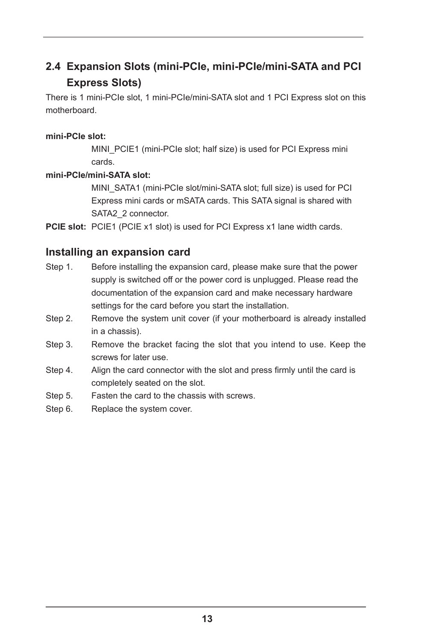### **2.4 Expansion Slots (mini-PCIe, mini-PCIe/mini-SATA and PCI Express Slots)**

There is 1 mini-PCIe slot, 1 mini-PCIe/mini-SATA slot and 1 PCI Express slot on this motherboard.

#### **mini-PCIe slot:**

MINI\_PCIE1 (mini-PCIe slot; half size) is used for PCI Express mini cards.

#### **mini-PCIe/mini-SATA slot:**

MINI\_SATA1 (mini-PCIe slot/mini-SATA slot; full size) is used for PCI Express mini cards or mSATA cards. This SATA signal is shared with SATA2\_2 connector.

**PCIE slot:** PCIE1 (PCIE x1 slot) is used for PCI Express x1 lane width cards.

#### **Installing an expansion card**

- Step 1. Before installing the expansion card, please make sure that the power supply is switched off or the power cord is unplugged. Please read the documentation of the expansion card and make necessary hardware settings for the card before you start the installation.
- Step 2. Remove the system unit cover (if your motherboard is already installed in a chassis).
- Step 3. Remove the bracket facing the slot that you intend to use. Keep the screws for later use.
- Step 4. Align the card connector with the slot and press firmly until the card is completely seated on the slot.
- Step 5. Fasten the card to the chassis with screws.
- Step 6. Replace the system cover.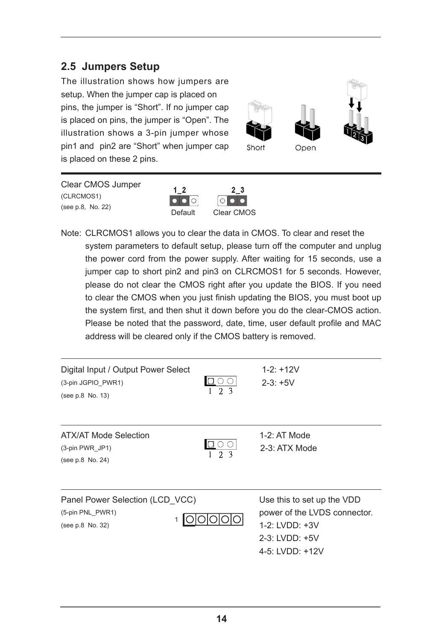#### **2.5 Jumpers Setup**

The illustration shows how jumpers are setup. When the jumper cap is placed on pins, the jumper is "Short". If no jumper cap is placed on pins, the jumper is "Open". The illustration shows a 3-pin jumper whose pin1 and pin2 are "Short" when jumper cap is placed on these 2 pins.

Shor





Clear CMOS Jumper (CLRCMOS1) (see p.8, No. 22)



Note: CLRCMOS1 allows you to clear the data in CMOS. To clear and reset the system parameters to default setup, please turn off the computer and unplug the power cord from the power supply. After waiting for 15 seconds, use a jumper cap to short pin2 and pin3 on CLRCMOS1 for 5 seconds. However, please do not clear the CMOS right after you update the BIOS. If you need to clear the CMOS when you just finish updating the BIOS, you must boot up the system first, and then shut it down before you do the clear-CMOS action. Please be noted that the password, date, time, user default profile and MAC address will be cleared only if the CMOS battery is removed.

| Digital Input / Output Power Select<br>(3-pin JGPIO PWR1)<br>(see p.8 No. 13) | 23 | $1 - 2.1 - 12V$<br>$2 - 3: +5V$                                                                                          |
|-------------------------------------------------------------------------------|----|--------------------------------------------------------------------------------------------------------------------------|
| ATX/AT Mode Selection<br>(3-pin PWR JP1)<br>(see p.8 No. 24)                  | 23 | $1-2$ : AT Mode<br>$2-3$ : ATX Mode                                                                                      |
| Panel Power Selection (LCD VCC)<br>(5-pin PNL PWR1)<br>(see p.8 No. 32)       |    | Use this to set up the VDD<br>power of the LVDS connector.<br>$1-2: LVDD: +3V$<br>$2-3$ : LVDD: $+5V$<br>4-5: LVDD: +12V |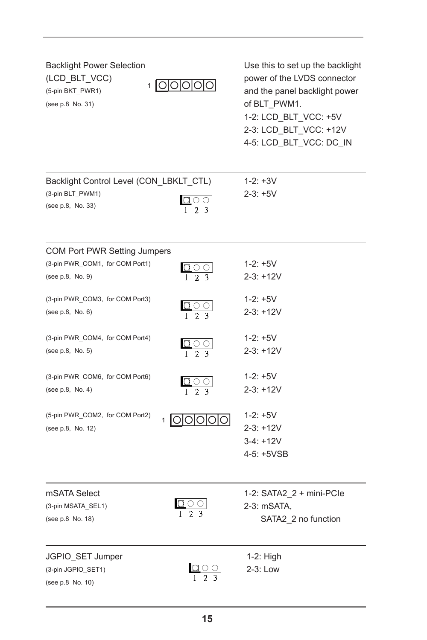| <b>Backlight Power Selection</b><br>(LCD_BLT_VCC)<br>(5-pin BKT_PWR1)<br>(see p.8 No. 31) | <u>lolololol</u>                                             | Use this to set up the backlight<br>power of the LVDS connector<br>and the panel backlight power<br>of BLT_PWM1.<br>1-2: LCD_BLT_VCC: +5V<br>2-3: LCD_BLT_VCC: +12V<br>4-5: LCD_BLT_VCC: DC_IN |
|-------------------------------------------------------------------------------------------|--------------------------------------------------------------|------------------------------------------------------------------------------------------------------------------------------------------------------------------------------------------------|
| Backlight Control Level (CON_LBKLT_CTL)                                                   |                                                              | $1 - 2: +3V$                                                                                                                                                                                   |
| (3-pin BLT_PWM1)                                                                          |                                                              | $2-3: +5V$                                                                                                                                                                                     |
| (see p.8, No. 33)                                                                         | $\frac{\square \bigcirc \bigcirc}{1 \cdot 2 \cdot 3}$        |                                                                                                                                                                                                |
| <b>COM Port PWR Setting Jumpers</b>                                                       |                                                              |                                                                                                                                                                                                |
| (3-pin PWR_COM1, for COM Port1)                                                           |                                                              | $1-2: +5V$                                                                                                                                                                                     |
| (see p.8, No. 9)                                                                          | $\frac{\square \bigcirc \bigcirc}{\square \bigcirc \square}$ | $2-3: +12V$                                                                                                                                                                                    |
| (3-pin PWR_COM3, for COM Port3)                                                           |                                                              | $1-2: +5V$                                                                                                                                                                                     |
| (see p.8, No. 6)                                                                          | $\frac{\square \bigcirc \bigcirc}{1 \cdot 2 \cdot 3}$        | $2-3: +12V$                                                                                                                                                                                    |
| (3-pin PWR_COM4, for COM Port4)                                                           |                                                              | $1-2: +5V$                                                                                                                                                                                     |
| (see p.8, No. 5)                                                                          | $\frac{\square \bigcirc \bigcirc}{1 \cdot 2 \cdot 3}$        | $2-3: +12V$                                                                                                                                                                                    |
| (3-pin PWR_COM6, for COM Port6)                                                           |                                                              | $1-2: +5V$                                                                                                                                                                                     |
| (see p.8, No. 4)                                                                          | $\frac{\square \bigcirc \bigcirc}{1 \cdot 2 \cdot 3}$        | $2-3: +12V$                                                                                                                                                                                    |
| (5-pin PWR_COM2, for COM Port2)                                                           | 1 00000                                                      | $1-2: +5V$                                                                                                                                                                                     |
| (see p.8, No. 12)                                                                         |                                                              | $2-3: +12V$                                                                                                                                                                                    |
|                                                                                           |                                                              | $3-4: +12V$                                                                                                                                                                                    |
|                                                                                           |                                                              | 4-5: +5VSB                                                                                                                                                                                     |
| mSATA Select                                                                              |                                                              | 1-2: SATA2_2 + mini-PCle                                                                                                                                                                       |
| (3-pin MSATA_SEL1)                                                                        | $\frac{\square \bigcirc \bigcirc}{1 \cdot 2 \cdot 3}$        | 2-3: mSATA,                                                                                                                                                                                    |
| (see p.8 No. 18)                                                                          |                                                              | SATA2_2 no function                                                                                                                                                                            |
| JGPIO_SET Jumper                                                                          |                                                              | 1-2: High                                                                                                                                                                                      |
| (3-pin JGPIO_SET1)                                                                        | $\frac{\Box \bigcirc \bigcirc}{1 \quad 2 \quad 3}$           | 2-3: Low                                                                                                                                                                                       |
| (see p.8 No. 10)                                                                          |                                                              |                                                                                                                                                                                                |
|                                                                                           |                                                              |                                                                                                                                                                                                |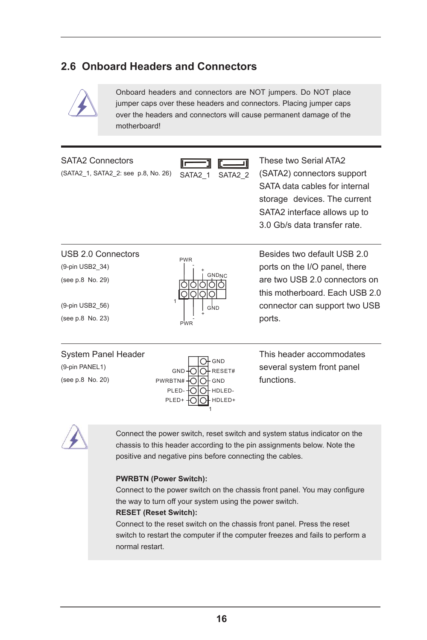#### **2.6 Onboard Headers and Connectors**



Onboard headers and connectors are NOT jumpers. Do NOT place jumper caps over these headers and connectors. Placing jumper caps over the headers and connectors will cause permanent damage of the motherboard!

| SATA2 Connectors    |                                                                        | These two Serial ATA2                                                          |  |  |  |  |
|---------------------|------------------------------------------------------------------------|--------------------------------------------------------------------------------|--|--|--|--|
|                     |                                                                        | (SATA2_1, SATA2_2: see p.8, No. 26) SATA2_1 SATA2_2 (SATA2) connectors support |  |  |  |  |
|                     |                                                                        | SATA data cables for internal                                                  |  |  |  |  |
|                     |                                                                        | storage devices. The current                                                   |  |  |  |  |
|                     |                                                                        | SATA2 interface allows up to                                                   |  |  |  |  |
|                     |                                                                        | 3.0 Gb/s data transfer rate.                                                   |  |  |  |  |
|                     |                                                                        |                                                                                |  |  |  |  |
|                     |                                                                        |                                                                                |  |  |  |  |
| USB 2.0 Connectors  | PWR<br>.                                                               | Besides two default USB 2.0                                                    |  |  |  |  |
| (9-pin USB2_34)     | $\frac{1}{2}$                                                          | ports on the I/O panel, there                                                  |  |  |  |  |
| (see p.8 No. 29)    |                                                                        | are two USB 2.0 connectors on                                                  |  |  |  |  |
|                     |                                                                        | this motherboard. Each USB 2.0                                                 |  |  |  |  |
| (9-pin USB2_56)     | GND                                                                    | connector can support two USB                                                  |  |  |  |  |
| (see p.8 No. 23)    | $+$                                                                    | ports.                                                                         |  |  |  |  |
|                     | <b>PWR</b>                                                             |                                                                                |  |  |  |  |
|                     |                                                                        |                                                                                |  |  |  |  |
|                     |                                                                        |                                                                                |  |  |  |  |
| System Panel Header |                                                                        | This header accommodates                                                       |  |  |  |  |
| (9-pin PANEL1)      | P<br>POO HDLE<br>POO HDLE<br>POO HDLE<br>POO GND<br>CND GND<br>CND GND | several system front panel                                                     |  |  |  |  |
| (see p.8 No. 20)    |                                                                        | functions.                                                                     |  |  |  |  |
|                     |                                                                        |                                                                                |  |  |  |  |
|                     |                                                                        |                                                                                |  |  |  |  |
|                     |                                                                        |                                                                                |  |  |  |  |



 Connect the power switch, reset switch and system status indicator on the chassis to this header according to the pin assignments below. Note the positive and negative pins before connecting the cables.

#### **PWRBTN (Power Switch):**

Connect to the power switch on the chassis front panel. You may configure the way to turn off your system using the power switch.

#### **RESET (Reset Switch):**

 Connect to the reset switch on the chassis front panel. Press the reset switch to restart the computer if the computer freezes and fails to perform a normal restart.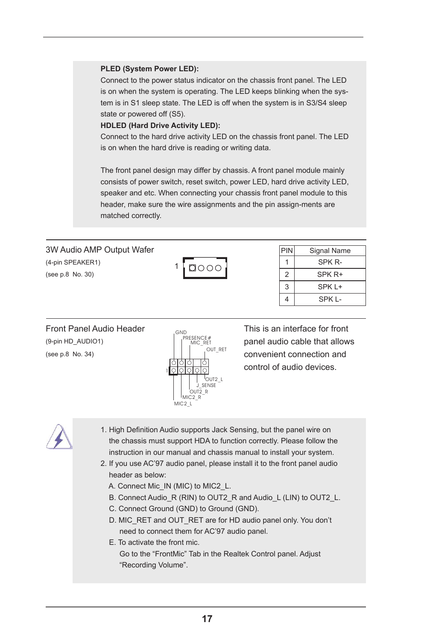#### **PLED (System Power LED):**

 Connect to the power status indicator on the chassis front panel. The LED is on when the system is operating. The LED keeps blinking when the system is in S1 sleep state. The LED is off when the system is in S3/S4 sleep state or powered off (S5).

#### **HDLED (Hard Drive Activity LED):**

 Connect to the hard drive activity LED on the chassis front panel. The LED is on when the hard drive is reading or writing data.

 The front panel design may differ by chassis. A front panel module mainly consists of power switch, reset switch, power LED, hard drive activity LED, speaker and etc. When connecting your chassis front panel module to this header, make sure the wire assignments and the pin assign-ments are matched correctly.

3W Audio AMP Output Wafer (4-pin SPEAKER1)

(see p.8 No. 30)



| PIN            | Signal Name |  |  |  |  |  |
|----------------|-------------|--|--|--|--|--|
|                | SPK R-      |  |  |  |  |  |
| $\overline{2}$ | SPK R+      |  |  |  |  |  |
| 3              | SPK L+      |  |  |  |  |  |
|                | SPK L-      |  |  |  |  |  |



Front Panel Audio Header This is an interface for front (9-pin HD AUDIO1) **panel audio cable that allows** (see p.8 No. 34) convenient connection and control of audio devices.



1. High Definition Audio supports Jack Sensing, but the panel wire on the chassis must support HDA to function correctly. Please follow the instruction in our manual and chassis manual to install your system.

- 2. If you use AC'97 audio panel, please install it to the front panel audio header as below:
	- A. Connect Mic\_IN (MIC) to MIC2\_L.
	- B. Connect Audio\_R (RIN) to OUT2\_R and Audio\_L (LIN) to OUT2\_L.
	- C. Connect Ground (GND) to Ground (GND).
	- D. MIC\_RET and OUT\_RET are for HD audio panel only. You don't need to connect them for AC'97 audio panel.
	- E. To activate the front mic. Go to the "FrontMic" Tab in the Realtek Control panel. Adjust "Recording Volume".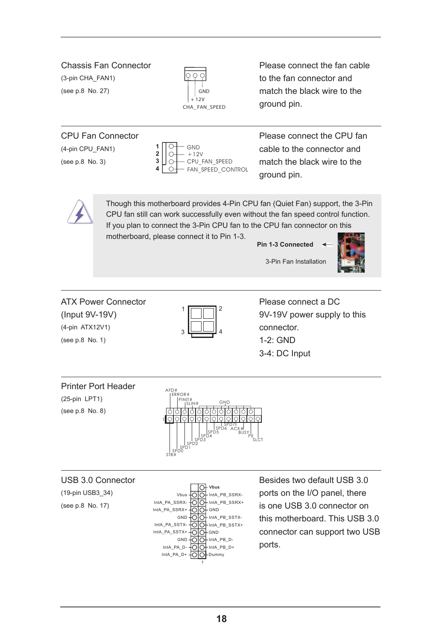

 $(4-pin ATX12V1)$  connector.



(Input 9V-19V)  $||\angle||^2$  9V-19V power supply to this 3-4: DC Input

#### Printer Port Header

(25-pin LPT1) (see p.8 No. 8)





USB 3.0 Connector **Besides** two default USB 3.0  $(19-pin \cup SB3_34)$   $\frac{100}{100}$   $\frac{1}{1014}$   $PB_ssRx$  ports on the I/O panel, there (see p.8 No. 17)  $\frac{\ln 1. P4. 58 \text{N}}{\ln 1.8 \text{ Pa} \cdot \text{SFR} \cdot \sqrt{1.61}}$  is one USB 3.0 connector on this motherboard. This USB 3.0 connector can support two USB ports.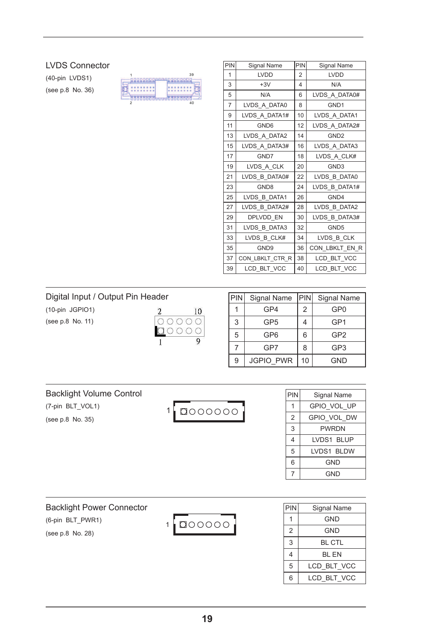#### LVDS Connector

(40-pin LVDS1) (see p.8 No. 36)

|   | 39 |
|---|----|
|   |    |
|   |    |
|   |    |
| ۰ | 40 |

| PIN            | Signal Name      | PIN            | Signal Name      |
|----------------|------------------|----------------|------------------|
| 1              | LVDD             | $\overline{2}$ | LVDD             |
| 3              | $+3V$            | 4              | N/A              |
| 5              | N/A              | 6              | LVDS A DATA0#    |
| $\overline{7}$ | LVDS A DATA0     | 8              | GND <sub>1</sub> |
| 9              | LVDS A DATA1#    | 10             | LVDS A DATA1     |
| 11             | GND6             | 12             | LVDS A DATA2#    |
| 13             | LVDS A DATA2     | 14             | GND <sub>2</sub> |
| 15             | LVDS A DATA3#    | 16             | LVDS A DATA3     |
| 17             | GND7             | 18             | LVDS A CLK#      |
| 19             | LVDS A CLK       | 20             | GND <sub>3</sub> |
| 21             | LVDS B DATA0#    | 22             | LVDS B DATA0     |
| 23             | GND <sub>8</sub> | 24             | LVDS B DATA1#    |
| 25             | LVDS B_DATA1     | 26             | GND4             |
| 27             | LVDS B DATA2#    | 28             | LVDS B DATA2     |
| 29             | DPLVDD EN        | 30             | LVDS_B_DATA3#    |
| 31             | LVDS B DATA3     | 32             | GND <sub>5</sub> |
| 33             | LVDS B CLK#      | 34             | LVDS B CLK       |
| 35             | GND <sub>9</sub> | 36             | CON_LBKLT_EN_R   |
| 37             | CON_LBKLT_CTR_R  | 38             | LCD BLT VCC      |
| 39             | LCD BLT VCC      | 40             | LCD BLT VCC      |
|                |                  |                |                  |

Digital Input / Output Pin Header

(10-pin JGPIO1)

(see p.8 No. 11)



| PIN | Signal Name      | PIN | Signal Name     |
|-----|------------------|-----|-----------------|
|     | GP4              | 2   | GP <sub>0</sub> |
| 3   | GP <sub>5</sub>  | 4   | GP1             |
| 5   | GP <sub>6</sub>  | 6   | GP <sub>2</sub> |
| 7   | GP7              | 8   | GP3             |
| 9   | <b>JGPIO PWR</b> | 10  | GND             |

Backlight Volume Control

(7-pin BLT\_VOL1)

(see p.8 No. 35)



| Signal Name  |  |  |
|--------------|--|--|
| GPIO VOL UP  |  |  |
| GPIO VOL DW  |  |  |
| <b>PWRDN</b> |  |  |
| LVDS1 BLUP   |  |  |
| LVDS1 BLDW   |  |  |
| GND          |  |  |
| GND          |  |  |
|              |  |  |

Backlight Power Connector

(6-pin BLT\_PWR1)

(see p.8 No. 28)

 $1$ <u>Dooooo</u>

| Signal Name   |
|---------------|
| GND           |
| GND           |
| <b>BL CTL</b> |
| BL EN         |
| LCD BLT VCC   |
| LCD BLT VCC   |
|               |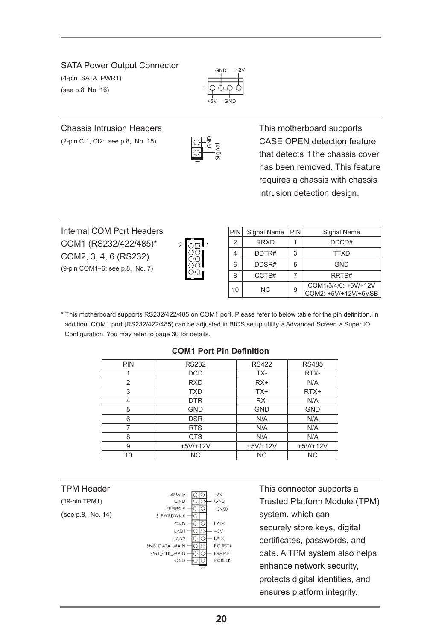#### SATA Power Output Connector

(4-pin SATA\_PWR1) (see p.8 No. 16)





Chassis Intrusion Headers This motherboard supports (2-pin CI1, CI2: see p.8, No. 15)  $\overline{C} + \overline{z}$  CASE OPEN detection feature that detects if the chassis cover has been removed. This feature requires a chassis with chassis intrusion detection design.

Internal COM Port Headers COM1 (RS232/422/485)\* COM2, 3, 4, 6 (RS232) (9-pin COM1~6: see p.8, No. 7)



| PIN | Signal Name | PIN | Signal Name                                  |
|-----|-------------|-----|----------------------------------------------|
| 2   | <b>RRXD</b> |     | DDCD#                                        |
|     | DDTR#       | 3   | TTXD                                         |
| 6   | DDSR#       | 5   | <b>GND</b>                                   |
| 8   | CCTS#       |     | RRTS#                                        |
| 10  | ΝC          | 9   | COM1/3/4/6: +5V/+12V<br>COM2: +5V/+12V/+5VSB |

\* This motherboard supports RS232/422/485 on COM1 port. Please refer to below table for the pin deinition. In addition, COM1 port (RS232/422/485) can be adjusted in BIOS setup utility > Advanced Screen > Super IO Configuration. You may refer to page 30 for details.

| <b>RS232</b> | <b>RS422</b> | <b>RS485</b> |
|--------------|--------------|--------------|
| <b>DCD</b>   | TX-          | RTX-         |
| <b>RXD</b>   | $RX+$        | N/A          |
| <b>TXD</b>   | TX+          | RTX+         |
| <b>DTR</b>   | RX-          | N/A          |
| <b>GND</b>   | <b>GND</b>   | <b>GND</b>   |
| <b>DSR</b>   | N/A          | N/A          |
| <b>RTS</b>   | N/A          | N/A          |
| <b>CTS</b>   | N/A          | N/A          |
| $+5V/+12V$   | $+5V/+12V$   | $+5V/+12V$   |
| <b>NC</b>    | <b>NC</b>    | <b>NC</b>    |
|              |              |              |

#### **COM1 Port Pin Deinition**



(19-pin TPM1)  $\frac{1}{\text{SRRQ#}}$   $\frac{1}{\text{CRRQ} + \text{NMS}}$  Trusted Platform Module (TPM)  $\frac{1}{\text{SND}}$   $\frac{1}{\text{SLO}}$   $\frac{1}{\text{SVD}}$  securely store keys, digital  $LAD2 \rightarrow CD \rightarrow LAD3$  certificates, passwords, and SMB\_CLK\_MAIN CO FRAME **data. A TPM system also helps**  enhance network security, protects digital identities, and ensures platform integrity.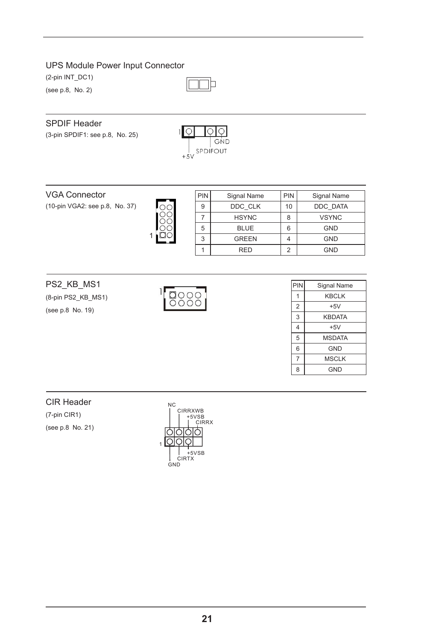#### UPS Module Power Input Connector

(2-pin INT\_DC1)

(see p.8, No. 2)



#### SPDIF Header

(3-pin SPDIF1: see p.8, No. 25)



#### VGA Connector

(10-pin VGA2: see p.8, No. 37)



| PIN | Signal Name  | PIN | Signal Name  |
|-----|--------------|-----|--------------|
| 9   | DDC CLK      | 10  | DDC DATA     |
|     | <b>HSYNC</b> | 8   | <b>VSYNC</b> |
| 5   | <b>BLUE</b>  | 6   | <b>GND</b>   |
| 3   | <b>GREEN</b> |     | <b>GND</b>   |
|     | <b>RED</b>   |     | <b>GND</b>   |

#### PS2\_KB\_MS1

(8-pin PS2\_KB\_MS1) (see p.8 No. 19)



| PIN            | Signal Name   |
|----------------|---------------|
| 1              | <b>KBCLK</b>  |
| $\overline{2}$ | $+5V$         |
| 3              | <b>KBDATA</b> |
| 4              | $+5V$         |
| 5              | <b>MSDATA</b> |
| 6              | GND           |
| 7              | <b>MSCLK</b>  |
| 8              | <b>GND</b>    |
|                |               |

#### CIR Header

(7-pin CIR1) (see p.8 No. 21)

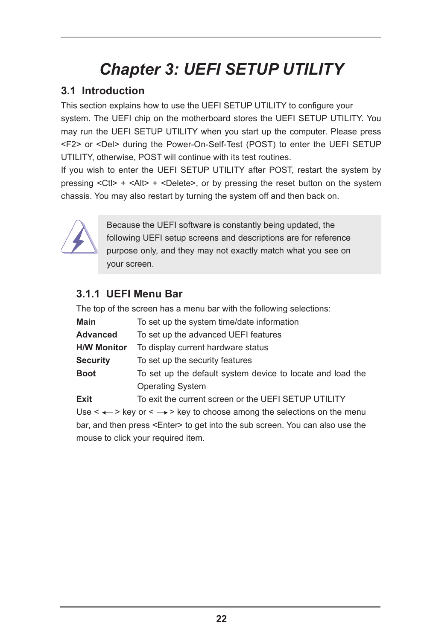## *Chapter 3: UEFI SETUP UTILITY*

#### **3.1 Introduction**

This section explains how to use the UEFI SETUP UTILITY to conigure your system. The UEFI chip on the motherboard stores the UEFI SETUP UTILITY. You may run the UEFI SETUP UTILITY when you start up the computer. Please press <F2> or <Del> during the Power-On-Self-Test (POST) to enter the UEFI SETUP UTILITY, otherwise, POST will continue with its test routines.

If you wish to enter the UEFI SETUP UTILITY after POST, restart the system by pressing  $\langle Ct \rangle$  +  $\langle A|t \rangle$  +  $\langle De|t \rangle$  or by pressing the reset button on the system chassis. You may also restart by turning the system off and then back on.



Because the UEFI software is constantly being updated, the following UEFI setup screens and descriptions are for reference purpose only, and they may not exactly match what you see on your screen.

#### **3.1.1 UEFI Menu Bar**

The top of the screen has a menu bar with the following selections:

| <b>Main</b>        | To set up the system time/date information                 |  |  |
|--------------------|------------------------------------------------------------|--|--|
| <b>Advanced</b>    | To set up the advanced UEFI features                       |  |  |
| <b>H/W Monitor</b> | To display current hardware status                         |  |  |
| <b>Security</b>    | To set up the security features                            |  |  |
| <b>Boot</b>        | To set up the default system device to locate and load the |  |  |
|                    | <b>Operating System</b>                                    |  |  |
| Exit               | To exit the current screen or the UEFI SETUP UTILITY       |  |  |
|                    |                                                            |  |  |

Use  $\leftarrow$   $\rightarrow$  key or  $\leftarrow$   $\rightarrow$  key to choose among the selections on the menu bar, and then press <Enter> to get into the sub screen. You can also use the mouse to click your required item.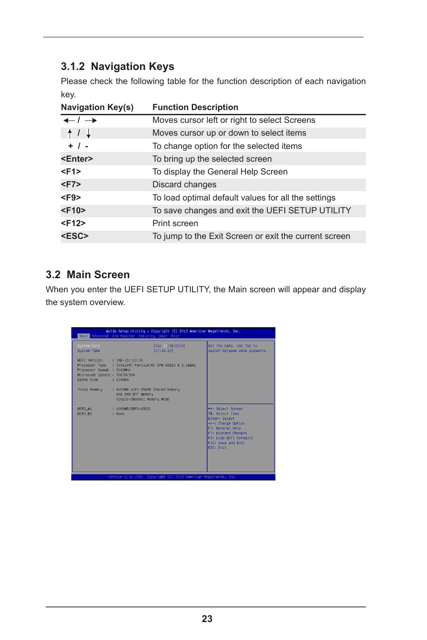#### **3.1.2 Navigation Keys**

Please check the following table for the function description of each navigation key.

| <b>Navigation Key(s)</b>                           | <b>Function Description</b>                           |
|----------------------------------------------------|-------------------------------------------------------|
| $\leftarrow \rightarrow$                           | Moves cursor left or right to select Screens          |
| $\uparrow$ / $\downarrow$                          | Moves cursor up or down to select items               |
| $+$ / $-$                                          | To change option for the selected items               |
| To bring up the selected screen<br><enter></enter> |                                                       |
| $<$ F1>                                            | To display the General Help Screen                    |
| $<$ F7>                                            | Discard changes                                       |
| $<$ F9>                                            | To load optimal default values for all the settings   |
| $<$ F10 $>$                                        | To save changes and exit the UEFI SETUP UTILITY       |
| $<$ F12>                                           | Print screen                                          |
| <esc></esc>                                        | To jump to the Exit Screen or exit the current screen |

#### **3.2 Main Screen**

When you enter the UEFI SETUP UTILITY, the Main screen will appear and display the system overview.

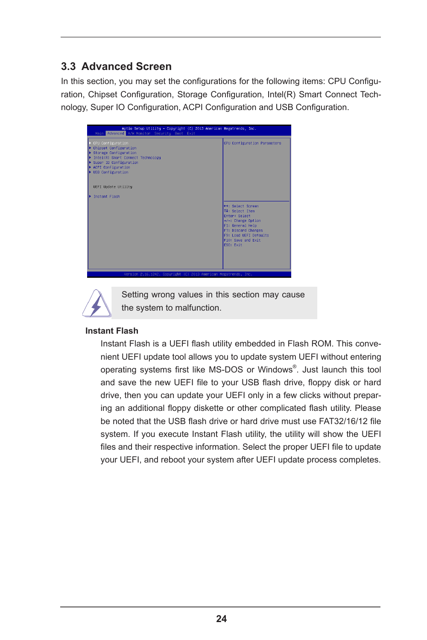#### **3.3 Advanced Screen**

In this section, you may set the configurations for the following items: CPU Configuration, Chipset Configuration, Storage Configuration, Intel(R) Smart Connect Technology, Super IO Configuration, ACPI Configuration and USB Configuration.



Setting wrong values in this section may cause the system to malfunction.

#### **Instant Flash**

Instant Flash is a UEFI flash utility embedded in Flash ROM. This convenient UEFI update tool allows you to update system UEFI without entering operating systems first like MS-DOS or Windows<sup>®</sup>. Just launch this tool and save the new UEFI file to your USB flash drive, floppy disk or hard drive, then you can update your UEFI only in a few clicks without preparing an additional floppy diskette or other complicated flash utility. Please be noted that the USB flash drive or hard drive must use FAT32/16/12 file system. If you execute Instant Flash utility, the utility will show the UEFI files and their respective information. Select the proper UEFI file to update your UEFI, and reboot your system after UEFI update process completes.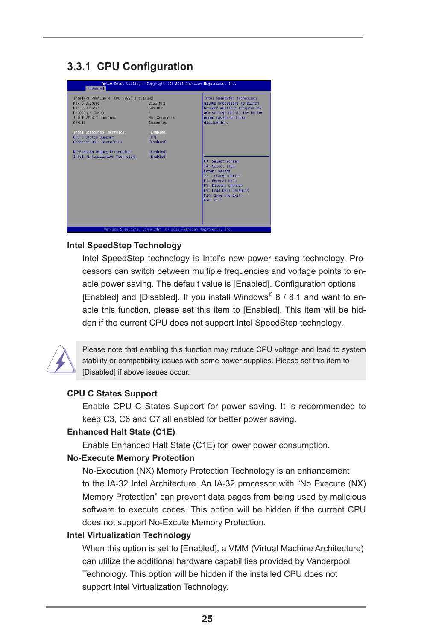### **3.3.1 CPU Coniguration**



#### **Intel SpeedStep Technology**

Intel SpeedStep technology is Intel's new power saving technology. Processors can switch between multiple frequencies and voltage points to enable power saving. The default value is [Enabled]. Configuration options: [Enabled] and [Disabled]. If you install Windows<sup>®</sup> 8 / 8.1 and want to enable this function, please set this item to [Enabled]. This item will be hidden if the current CPU does not support Intel SpeedStep technology.



 Please note that enabling this function may reduce CPU voltage and lead to system stability or compatibility issues with some power supplies. Please set this item to [Disabled] if above issues occur.

#### **CPU C States Support**

Enable CPU C States Support for power saving. It is recommended to keep C3, C6 and C7 all enabled for better power saving.

#### **Enhanced Halt State (C1E)**

Enable Enhanced Halt State (C1E) for lower power consumption.

#### **No-Execute Memory Protection**

No-Execution (NX) Memory Protection Technology is an enhancement to the IA-32 Intel Architecture. An IA-32 processor with "No Execute (NX) Memory Protection" can prevent data pages from being used by malicious software to execute codes. This option will be hidden if the current CPU does not support No-Excute Memory Protection.

#### **Intel Virtualization Technology**

When this option is set to [Enabled], a VMM (Virtual Machine Architecture) can utilize the additional hardware capabilities provided by Vanderpool Technology. This option will be hidden if the installed CPU does not support Intel Virtualization Technology.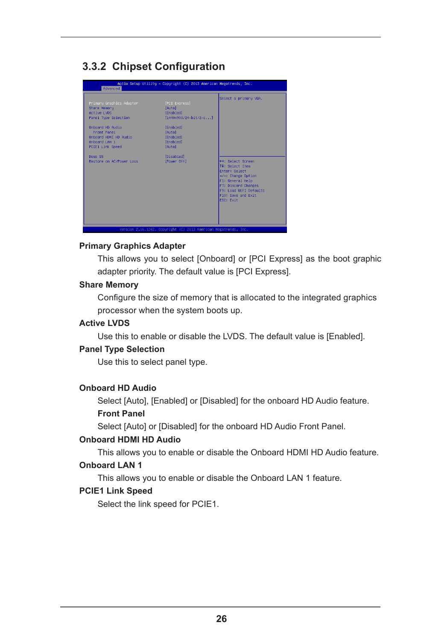### **3.3.2 Chipset Coniguration**



#### **Primary Graphics Adapter**

This allows you to select [Onboard] or [PCI Express] as the boot graphic adapter priority. The default value is [PCI Express].

#### **Share Memory**

Configure the size of memory that is allocated to the integrated graphics processor when the system boots up.

#### **Active LVDS**

Use this to enable or disable the LVDS. The default value is [Enabled].

#### **Panel Type Selection**

Use this to select panel type.

#### **Onboard HD Audio**

Select [Auto], [Enabled] or [Disabled] for the onboard HD Audio feature.

#### **Front Panel**

Select [Auto] or [Disabled] for the onboard HD Audio Front Panel.

#### **Onboard HDMI HD Audio**

This allows you to enable or disable the Onboard HDMI HD Audio feature.

#### **Onboard LAN 1**

This allows you to enable or disable the Onboard LAN 1 feature.

#### **PCIE1 Link Speed**

Select the link speed for PCIE1.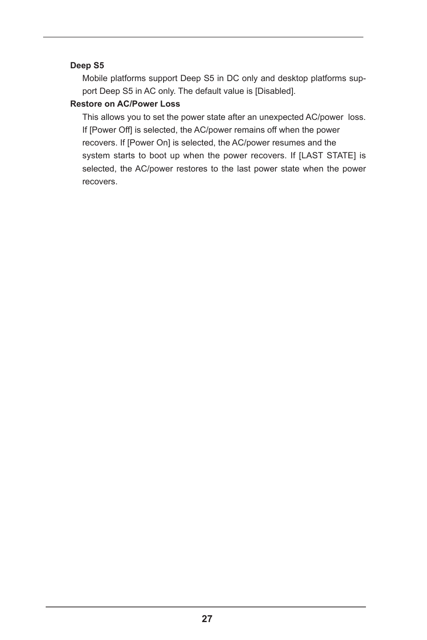#### **Deep S5**

Mobile platforms support Deep S5 in DC only and desktop platforms support Deep S5 in AC only. The default value is [Disabled].

#### **Restore on AC/Power Loss**

This allows you to set the power state after an unexpected AC/power loss. If [Power Off] is selected, the AC/power remains off when the power recovers. If [Power On] is selected, the AC/power resumes and the system starts to boot up when the power recovers. If [LAST STATE] is selected, the AC/power restores to the last power state when the power recovers.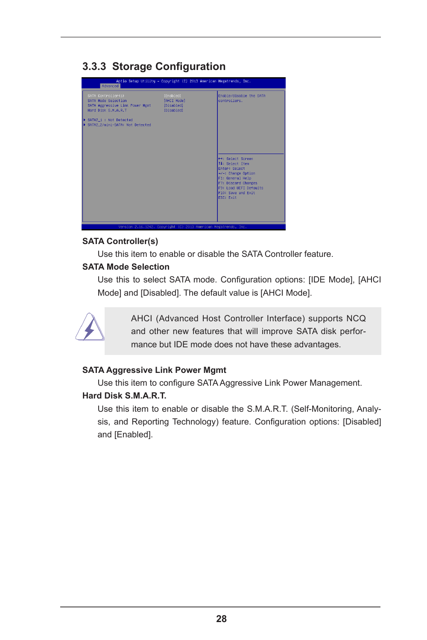### **3.3.3 Storage Coniguration**



#### **SATA Controller(s)**

Use this item to enable or disable the SATA Controller feature.

#### **SATA Mode Selection**

Use this to select SATA mode. Configuration options: [IDE Mode], [AHCI Mode] and [Disabled]. The default value is [AHCI Mode].



AHCI (Advanced Host Controller Interface) supports NCQ and other new features that will improve SATA disk performance but IDE mode does not have these advantages.

#### **SATA Aggressive Link Power Mgmt**

Use this item to configure SATA Aggressive Link Power Management.

#### **Hard Disk S.M.A.R.T.**

 Use this item to enable or disable the S.M.A.R.T. (Self-Monitoring, Analysis, and Reporting Technology) feature. Configuration options: [Disabled] and [Enabled].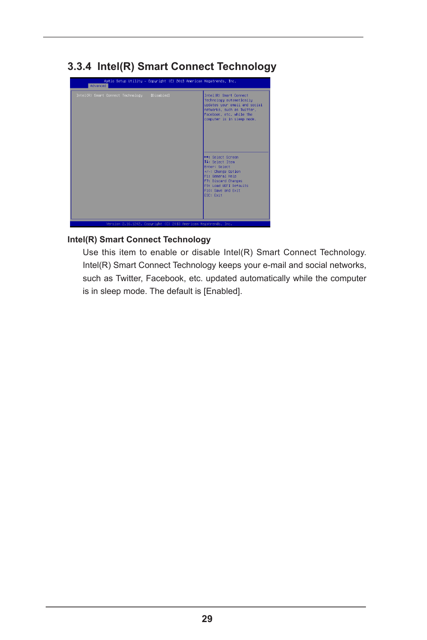

#### **Intel(R) Smart Connect Technology**

Use this item to enable or disable Intel(R) Smart Connect Technology. Intel(R) Smart Connect Technology keeps your e-mail and social networks, such as Twitter, Facebook, etc. updated automatically while the computer is in sleep mode. The default is [Enabled].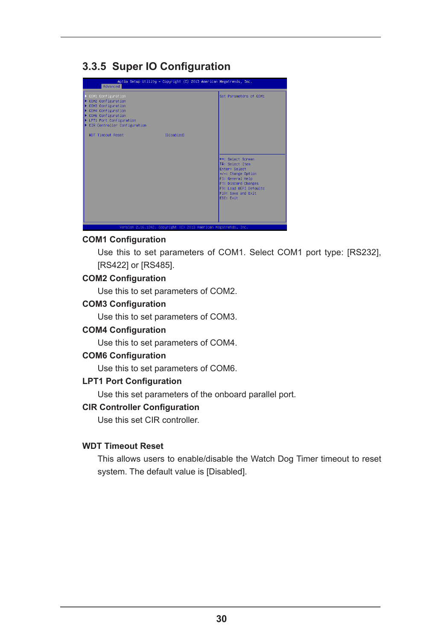#### **3.3.5 Super IO Coniguration**



#### **COM1 Coniguration**

Use this to set parameters of COM1. Select COM1 port type: [RS232], [RS422] or [RS485].

#### **COM2 Coniguration**

Use this to set parameters of COM2.

#### **COM3 Coniguration**

Use this to set parameters of COM3.

#### **COM4 Coniguration**

Use this to set parameters of COM4.

#### **COM6 Coniguration**

Use this to set parameters of COM6.

#### **LPT1 Port Configuration**

Use this set parameters of the onboard parallel port.

#### **CIR Controller Configuration**

Use this set CIR controller.

#### **WDT Timeout Reset**

 This allows users to enable/disable the Watch Dog Timer timeout to reset system. The default value is [Disabled].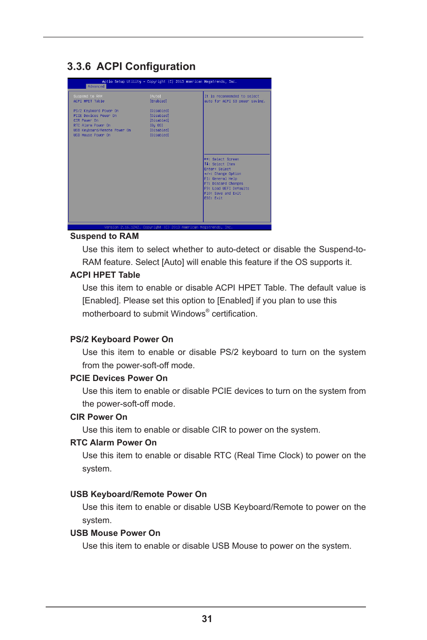#### **3.3.6 ACPI Coniguration**

| Advanced                                                                                                                                    |                                                                                                                  | Aotio Setup Utility - Copyright (C) 2013 American Megatrends, Inc.                                                                                                                         |
|---------------------------------------------------------------------------------------------------------------------------------------------|------------------------------------------------------------------------------------------------------------------|--------------------------------------------------------------------------------------------------------------------------------------------------------------------------------------------|
| Suspend to RAM<br>ACPT HPFT Table                                                                                                           | [Auto]<br>[Enabled]                                                                                              | It is recommended to select.<br>auto for ACPI S3 power saving.                                                                                                                             |
| PS/2 Keyboard Power On<br>PCTE Devices Power On<br>CTR Power On<br>RTC Alarm Power On<br>USB Keyboard/Remote Power On<br>USB Mouse Power On | <b>[Disabled]</b><br><b>[Disabled]</b><br><b>[Disabled]</b><br>[Bu OS]<br><b>[Disabled]</b><br><b>[Disabled]</b> |                                                                                                                                                                                            |
|                                                                                                                                             |                                                                                                                  | ++: Select Screen<br>14: Select Item<br>Enter: Select<br>+/-: Change Option<br>F1: General Help<br>F7: Discard Changes<br>F9: Load UEFI Defaults<br>F10: Save and Exit<br><b>ESC: Exit</b> |
|                                                                                                                                             | Unnelon 9 16 1949, Commission (C) 9019 Open Long Honotenede, The                                                 |                                                                                                                                                                                            |

#### **Suspend to RAM**

Use this item to select whether to auto-detect or disable the Suspend-to-RAM feature. Select [Auto] will enable this feature if the OS supports it.

#### **ACPI HPET Table**

 Use this item to enable or disable ACPI HPET Table. The default value is [Enabled]. Please set this option to [Enabled] if you plan to use this motherboard to submit Windows<sup>®</sup> certification.

#### **PS/2 Keyboard Power On**

Use this item to enable or disable PS/2 keyboard to turn on the system from the power-soft-off mode.

#### **PCIE Devices Power On**

 Use this item to enable or disable PCIE devices to turn on the system from the power-soft-off mode.

#### **CIR Power On**

Use this item to enable or disable CIR to power on the system.

#### **RTC Alarm Power On**

 Use this item to enable or disable RTC (Real Time Clock) to power on the system.

#### **USB Keyboard/Remote Power On**

 Use this item to enable or disable USB Keyboard/Remote to power on the system.

#### **USB Mouse Power On**

Use this item to enable or disable USB Mouse to power on the system.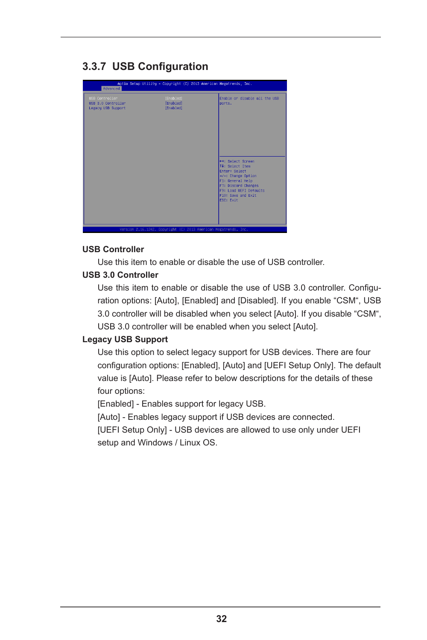### **3.3.7 USB Coniguration**



#### **USB Controller**

Use this item to enable or disable the use of USB controller.

#### **USB 3.0 Controller**

Use this item to enable or disable the use of USB 3.0 controller. Configuration options: [Auto], [Enabled] and [Disabled]. If you enable "CSM", USB 3.0 controller will be disabled when you select [Auto]. If you disable "CSM", USB 3.0 controller will be enabled when you select [Auto].

#### **Legacy USB Support**

Use this option to select legacy support for USB devices. There are four configuration options: [Enabled], [Auto] and [UEFI Setup Only]. The default value is [Auto]. Please refer to below descriptions for the details of these four options:

[Enabled] - Enables support for legacy USB.

[Auto] - Enables legacy support if USB devices are connected.

[UEFI Setup Only] - USB devices are allowed to use only under UEFI setup and Windows / Linux OS.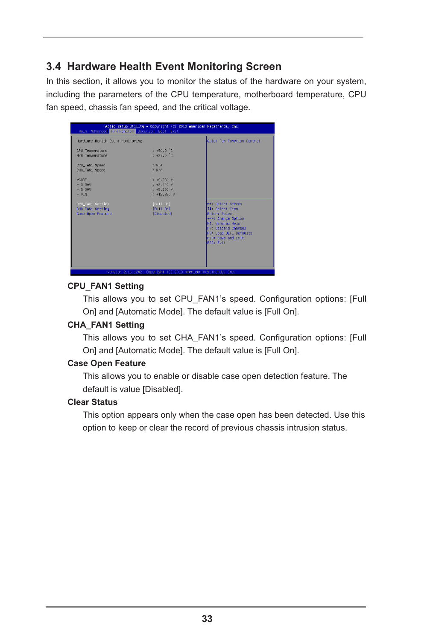#### **3.4 Hardware Health Event Monitoring Screen**

In this section, it allows you to monitor the status of the hardware on your system, including the parameters of the CPU temperature, motherboard temperature, CPU fan speed, chassis fan speed, and the critical voltage.

| Main Advanced H/W Monitor Security Boot Exit              | Aotio Setup Utility - Copyright (C) 2013 American Megatrends, Inc. |                                                                                                                                                                                              |
|-----------------------------------------------------------|--------------------------------------------------------------------|----------------------------------------------------------------------------------------------------------------------------------------------------------------------------------------------|
| Hardware Health Event Monitoring                          |                                                                    | Quiet Ean Eunction Control                                                                                                                                                                   |
| CPU Temperature<br>M/B Temperature                        | $: 450.0$ $^{\circ}$ C<br>$: 437.0$ <sup>1</sup> C                 |                                                                                                                                                                                              |
| CPU FAN1 Speed<br>CHA FAN1 Speed                          | : N/A<br>: N/A                                                     |                                                                                                                                                                                              |
| VCORE<br>$+ 3.30V$<br>$+ 5.00V$<br>$+$ VTN                | : 40.960 V<br>$: 43,440$ V<br>$: +5.160$ V<br>$: +12.320V$         |                                                                                                                                                                                              |
| CPU_Fan1 Setting<br>CHA_FAN1 Setting<br>Case Open Feature | [Full On]<br>[Full On]<br>[Disabled]                               | ++: Select Screen<br>14: Select Item<br>Enter: Select<br>$+\angle -$ : Change Option<br>F1: General Help<br>F7: Discard Changes<br>F9: Load UEFI Defaults<br>F10: Save and Exit<br>ESC: Exit |
|                                                           | Version 2.16.1242. Copyright (C) 2013 American Megatrends, Inc.    |                                                                                                                                                                                              |

#### **CPU\_FAN1 Setting**

 This allows you to set CPU\_FAN1's speed. Configuration options: [Full On] and [Automatic Mode]. The default value is [Full On].

#### **CHA\_FAN1 Setting**

This allows you to set CHA\_FAN1's speed. Configuration options: [Full On] and [Automatic Mode]. The default value is [Full On].

#### **Case Open Feature**

 This allows you to enable or disable case open detection feature. The default is value [Disabled].

#### **Clear Status**

 This option appears only when the case open has been detected. Use this option to keep or clear the record of previous chassis intrusion status.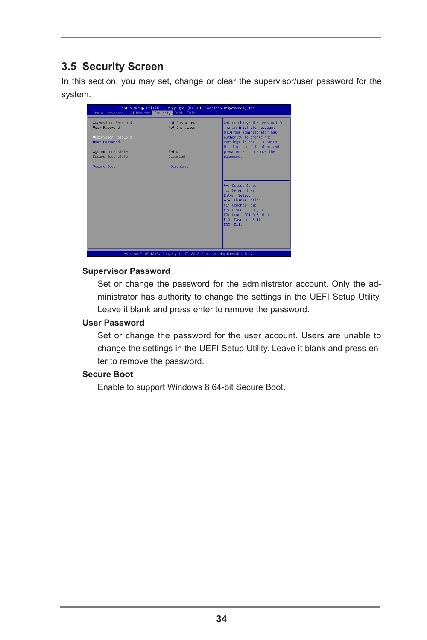#### **3.5 Security Screen**

In this section, you may set, change or clear the supervisor/user password for the system.



#### **Supervisor Password**

Set or change the password for the administrator account. Only the administrator has authority to change the settings in the UEFI Setup Utility. Leave it blank and press enter to remove the password.

#### **User Password**

Set or change the password for the user account. Users are unable to change the settings in the UEFI Setup Utility. Leave it blank and press enter to remove the password.

#### **Secure Boot**

Enable to support Windows 8 64-bit Secure Boot.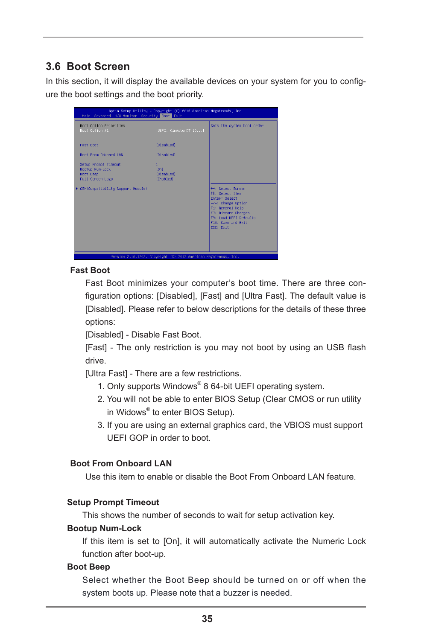#### **3.6 Boot Screen**

In this section, it will display the available devices on your system for you to conigure the boot settings and the boot priority.



#### **Fast Boot**

Fast Boot minimizes your computer's boot time. There are three coniguration options: [Disabled], [Fast] and [Ultra Fast]. The default value is [Disabled]. Please refer to below descriptions for the details of these three options:

[Disabled] - Disable Fast Boot.

[Fast] - The only restriction is you may not boot by using an USB flash drive.

[Ultra Fast] - There are a few restrictions.

- 1. Only supports Windows® 8 64-bit UEFI operating system.
- 2. You will not be able to enter BIOS Setup (Clear CMOS or run utility in Widows® to enter BIOS Setup).
	- 3. If you are using an external graphics card, the VBIOS must support UEFI GOP in order to boot.

#### **Boot From Onboard LAN**

Use this item to enable or disable the Boot From Onboard LAN feature.

#### **Setup Prompt Timeout**

This shows the number of seconds to wait for setup activation key.

#### **Bootup Num-Lock**

If this item is set to [On], it will automatically activate the Numeric Lock function after boot-up.

#### **Boot Beep**

Select whether the Boot Beep should be turned on or off when the system boots up. Please note that a buzzer is needed.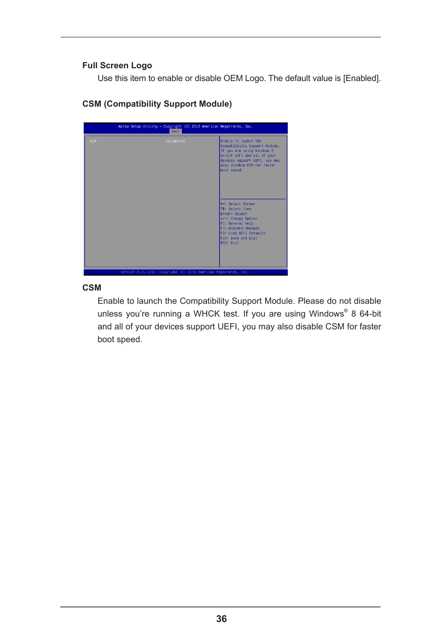#### **Full Screen Logo**

Use this item to enable or disable OEM Logo. The default value is [Enabled].



#### **CSM (Compatibility Support Module)**

#### **CSM**

 Enable to launch the Compatibility Support Module. Please do not disable unless you're running a WHCK test. If you are using Windows® 8 64-bit and all of your devices support UEFI, you may also disable CSM for faster boot speed.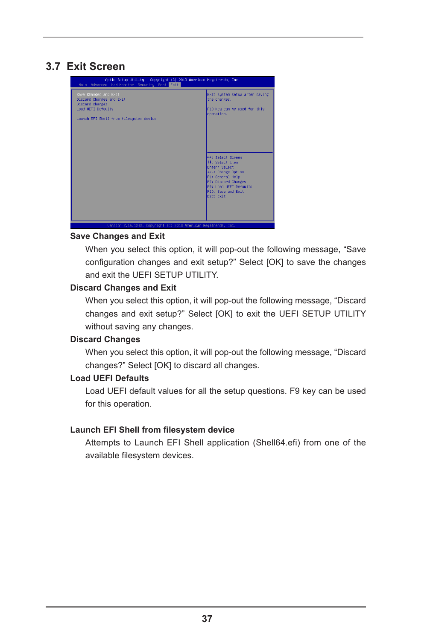#### **3.7 Exit Screen**



#### **Save Changes and Exit**

When you select this option, it will pop-out the following message, "Save configuration changes and exit setup?" Select [OK] to save the changes and exit the UEFI SETUP UTILITY.

#### **Discard Changes and Exit**

When you select this option, it will pop-out the following message, "Discard changes and exit setup?" Select [OK] to exit the UEFI SETUP UTILITY without saving any changes.

#### **Discard Changes**

When you select this option, it will pop-out the following message, "Discard changes?" Select [OK] to discard all changes.

#### **Load UEFI Defaults**

Load UEFI default values for all the setup questions. F9 key can be used for this operation.

#### **Launch EFI Shell from ilesystem device**

Attempts to Launch EFI Shell application (Shell64.efi) from one of the available filesystem devices.